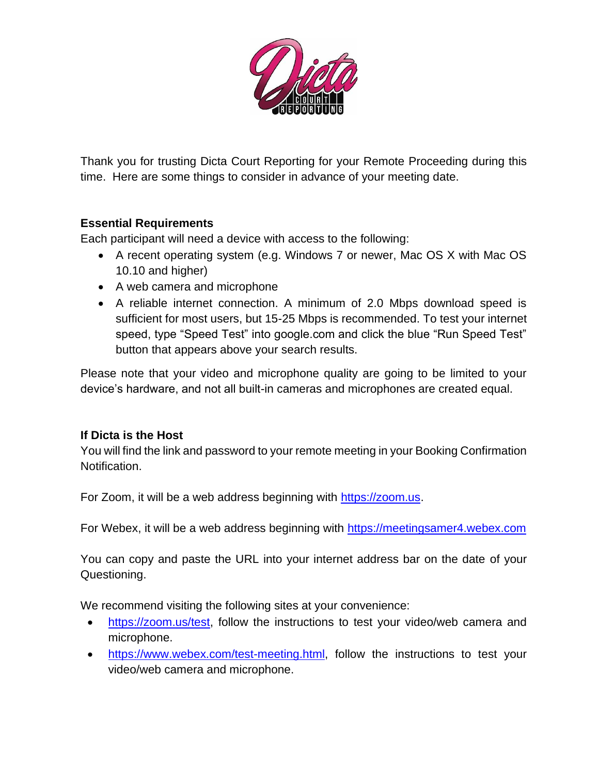

Thank you for trusting Dicta Court Reporting for your Remote Proceeding during this time. Here are some things to consider in advance of your meeting date.

### **Essential Requirements**

Each participant will need a device with access to the following:

- A recent operating system (e.g. Windows 7 or newer, Mac OS X with Mac OS 10.10 and higher)
- A web camera and microphone
- A reliable internet connection. A minimum of 2.0 Mbps download speed is sufficient for most users, but 15-25 Mbps is recommended. To test your internet speed, type "Speed Test" into google.com and click the blue "Run Speed Test" button that appears above your search results.

Please note that your video and microphone quality are going to be limited to your device's hardware, and not all built-in cameras and microphones are created equal.

#### **If Dicta is the Host**

You will find the link and password to your remote meeting in your Booking Confirmation Notification.

For Zoom, it will be a web address beginning with [https://zoom.us.](https://zoom.us/)

For Webex, it will be a web address beginning with [https://meetingsamer4.webex.com](https://meetingsamer4.webex.com/meetingsamer4/j.php?MTID=meeb3ffc31663429787a7c8710812a006) 

You can copy and paste the URL into your internet address bar on the date of your Questioning.

We recommend visiting the following sites at your convenience:

- [https://zoom.us/test,](https://zoom.us/test) follow the instructions to test your video/web camera and microphone.
- [https://www.webex.com/test-meeting.html,](https://www.webex.com/test-meeting.html) follow the instructions to test your video/web camera and microphone.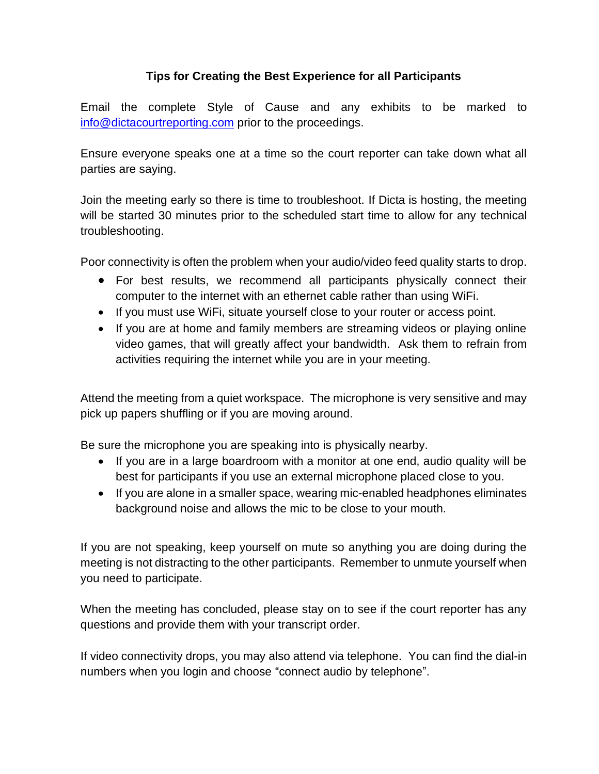### **Tips for Creating the Best Experience for all Participants**

Email the complete Style of Cause and any exhibits to be marked to [info@dictacourtreporting.com](info@dictacourtreporting.com%20) prior to the proceedings.

Ensure everyone speaks one at a time so the court reporter can take down what all parties are saying.

Join the meeting early so there is time to troubleshoot. If Dicta is hosting, the meeting will be started 30 minutes prior to the scheduled start time to allow for any technical troubleshooting.

Poor connectivity is often the problem when your audio/video feed quality starts to drop.

- For best results, we recommend all participants physically connect their computer to the internet with an ethernet cable rather than using WiFi.
- If you must use WiFi, situate yourself close to your router or access point.
- If you are at home and family members are streaming videos or playing online video games, that will greatly affect your bandwidth. Ask them to refrain from activities requiring the internet while you are in your meeting.

Attend the meeting from a quiet workspace. The microphone is very sensitive and may pick up papers shuffling or if you are moving around.

Be sure the microphone you are speaking into is physically nearby.

- If you are in a large boardroom with a monitor at one end, audio quality will be best for participants if you use an external microphone placed close to you.
- If you are alone in a smaller space, wearing mic-enabled headphones eliminates background noise and allows the mic to be close to your mouth.

If you are not speaking, keep yourself on mute so anything you are doing during the meeting is not distracting to the other participants. Remember to unmute yourself when you need to participate.

When the meeting has concluded, please stay on to see if the court reporter has any questions and provide them with your transcript order.

If video connectivity drops, you may also attend via telephone. You can find the dial-in numbers when you login and choose "connect audio by telephone".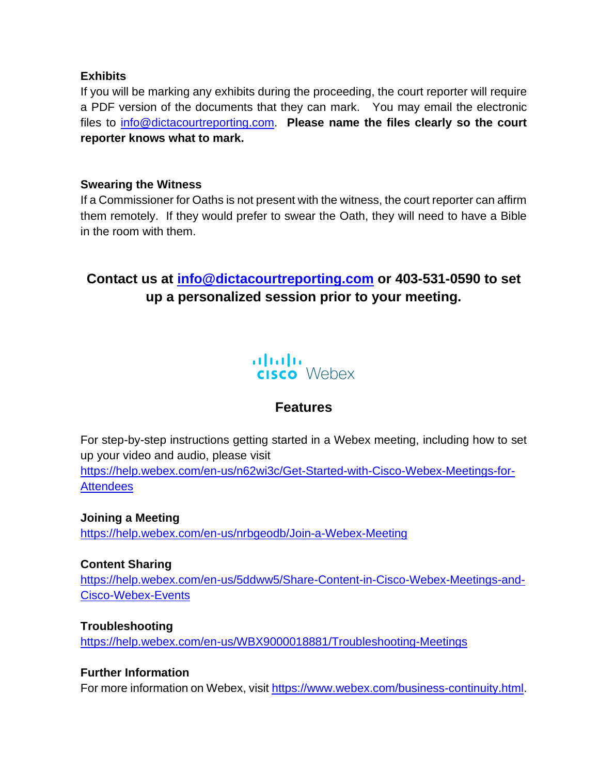#### **Exhibits**

If you will be marking any exhibits during the proceeding, the court reporter will require a PDF version of the documents that they can mark. You may email the electronic files to [info@dictacourtreporting.com.](info@dictacourtreporting.com) **Please name the files clearly so the court reporter knows what to mark.** 

#### **Swearing the Witness**

If a Commissioner for Oaths is not present with the witness, the court reporter can affirm them remotely. If they would prefer to swear the Oath, they will need to have a Bible in the room with them.

# **Contact us at [info@dictacourtreporting.com](info@dictacourtreporting.com%20) or 403-531-0590 to set up a personalized session prior to your meeting.**



# **Features**

For step-by-step instructions getting started in a Webex meeting, including how to set up your video and audio, please visit [https://help.webex.com/en-us/n62wi3c/Get-Started-with-Cisco-Webex-Meetings-for-](https://help.webex.com/en-us/n62wi3c/Get-Started-with-Cisco-Webex-Meetings-for-Attendees)**[Attendees](https://help.webex.com/en-us/n62wi3c/Get-Started-with-Cisco-Webex-Meetings-for-Attendees)** 

**Joining a Meeting** <https://help.webex.com/en-us/nrbgeodb/Join-a-Webex-Meeting>

#### **Content Sharing**

[https://help.webex.com/en-us/5ddww5/Share-Content-in-Cisco-Webex-Meetings-and-](https://help.webex.com/en-us/5ddww5/Share-Content-in-Cisco-Webex-Meetings-and-Cisco-Webex-Events)[Cisco-Webex-Events](https://help.webex.com/en-us/5ddww5/Share-Content-in-Cisco-Webex-Meetings-and-Cisco-Webex-Events)

**Troubleshooting**

<https://help.webex.com/en-us/WBX9000018881/Troubleshooting-Meetings>

#### **Further Information**

For more information on Webex, visit [https://www.webex.com/business-continuity.html.](https://www.webex.com/business-continuity.html)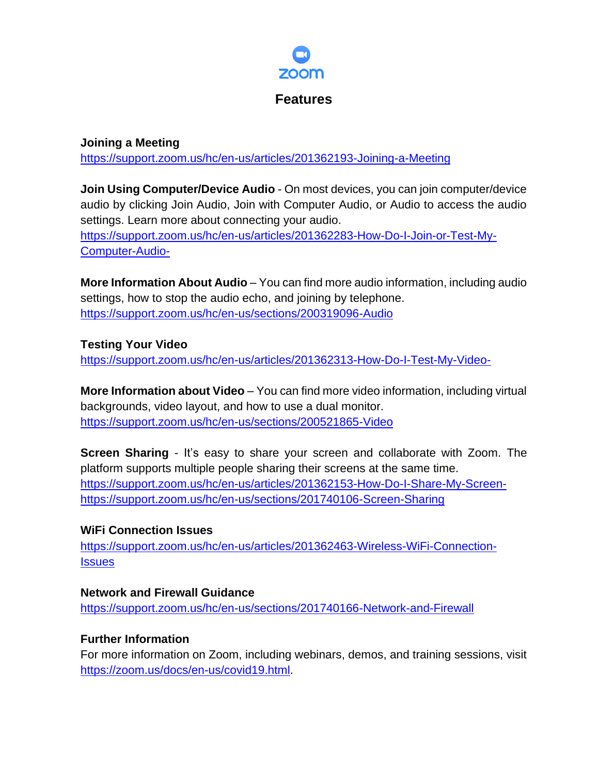

#### **Joining a Meeting** <https://support.zoom.us/hc/en-us/articles/201362193-Joining-a-Meeting>

**Join Using Computer/Device Audio** - On most devices, you can join computer/device audio by clicking Join Audio, Join with Computer Audio, or Audio to access the audio settings. Learn more about connecting your audio. [https://support.zoom.us/hc/en-us/articles/201362283-How-Do-I-Join-or-Test-My-](https://support.zoom.us/hc/en-us/articles/201362283-How-Do-I-Join-or-Test-My-Computer-Audio-)[Computer-Audio-](https://support.zoom.us/hc/en-us/articles/201362283-How-Do-I-Join-or-Test-My-Computer-Audio-)

**More Information About Audio** – You can find more audio information, including audio settings, how to stop the audio echo, and joining by telephone. <https://support.zoom.us/hc/en-us/sections/200319096-Audio>

## **Testing Your Video**

<https://support.zoom.us/hc/en-us/articles/201362313-How-Do-I-Test-My-Video->

**More Information about Video** – You can find more video information, including virtual backgrounds, video layout, and how to use a dual monitor. <https://support.zoom.us/hc/en-us/sections/200521865-Video>

**Screen Sharing** - It's easy to share your screen and collaborate with Zoom. The platform supports multiple people sharing their screens at the same time. [https://support.zoom.us/hc/en-us/articles/201362153-How-Do-I-Share-My-Screen](https://support.zoom.us/hc/en-us/articles/201362153-How-Do-I-Share-My-Screen-)<https://support.zoom.us/hc/en-us/sections/201740106-Screen-Sharing>

## **WiFi Connection Issues**

[https://support.zoom.us/hc/en-us/articles/201362463-Wireless-WiFi-Connection-](https://support.zoom.us/hc/en-us/articles/201362463-Wireless-WiFi-Connection-Issues)**[Issues](https://support.zoom.us/hc/en-us/articles/201362463-Wireless-WiFi-Connection-Issues)** 

**Network and Firewall Guidance** <https://support.zoom.us/hc/en-us/sections/201740166-Network-and-Firewall>

## **Further Information**

For more information on Zoom, including webinars, demos, and training sessions, visit [https://zoom.us/docs/en-us/covid19.html.](https://zoom.us/docs/en-us/covid19.html)